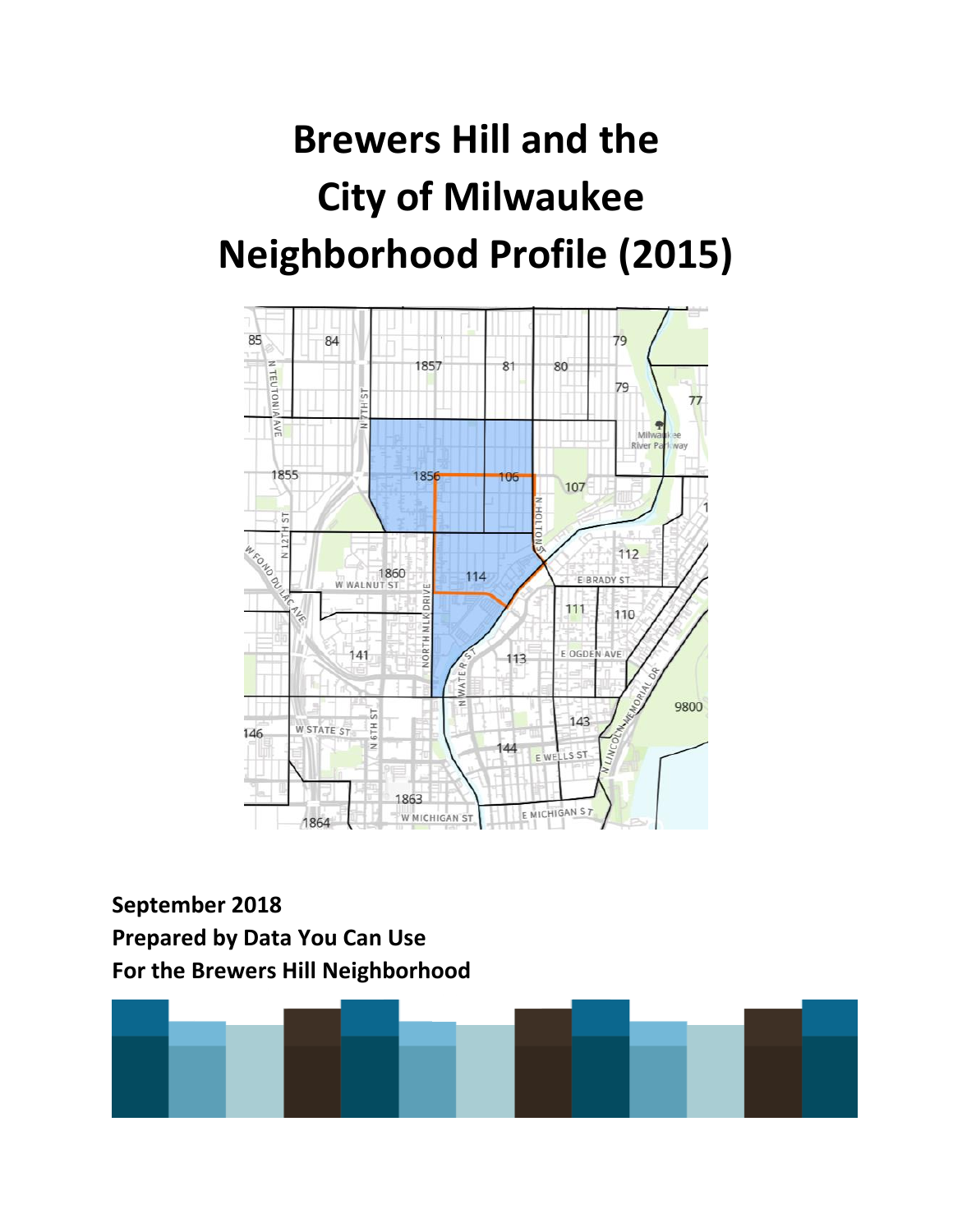# **Brewers Hill and the City of Milwaukee Neighborhood Profile (2015)**



## **September 2018 Prepared by Data You Can Use For the Brewers Hill Neighborhood**

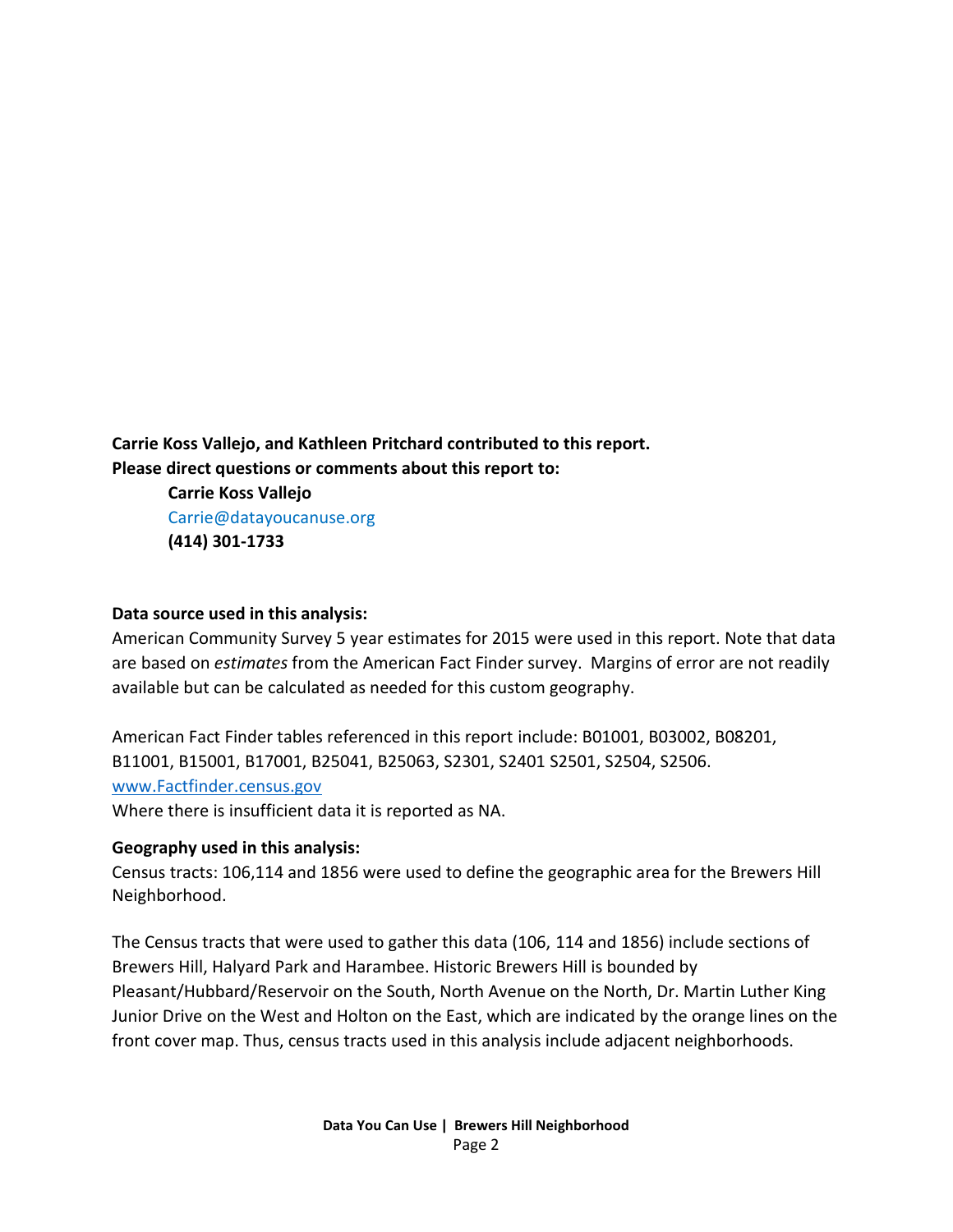**Carrie Koss Vallejo, and Kathleen Pritchard contributed to this report. Please direct questions or comments about this report to:**

> **Carrie Koss Vallejo** Carrie@datayoucanuse.org **(414) 301-1733**

#### **Data source used in this analysis:**

American Community Survey 5 year estimates for 2015 were used in this report. Note that data are based on *estimates* from the American Fact Finder survey. Margins of error are not readily available but can be calculated as needed for this custom geography.

American Fact Finder tables referenced in this report include: B01001, B03002, B08201, B11001, B15001, B17001, B25041, B25063, S2301, S2401 S2501, S2504, S2506. [www.Factfinder.census.gov](http://www.factfinder.census.gov/) 

Where there is insufficient data it is reported as NA.

#### **Geography used in this analysis:**

Census tracts: 106,114 and 1856 were used to define the geographic area for the Brewers Hill Neighborhood.

The Census tracts that were used to gather this data (106, 114 and 1856) include sections of Brewers Hill, Halyard Park and Harambee. Historic Brewers Hill is bounded by Pleasant/Hubbard/Reservoir on the South, North Avenue on the North, Dr. Martin Luther King Junior Drive on the West and Holton on the East, which are indicated by the orange lines on the front cover map. Thus, census tracts used in this analysis include adjacent neighborhoods.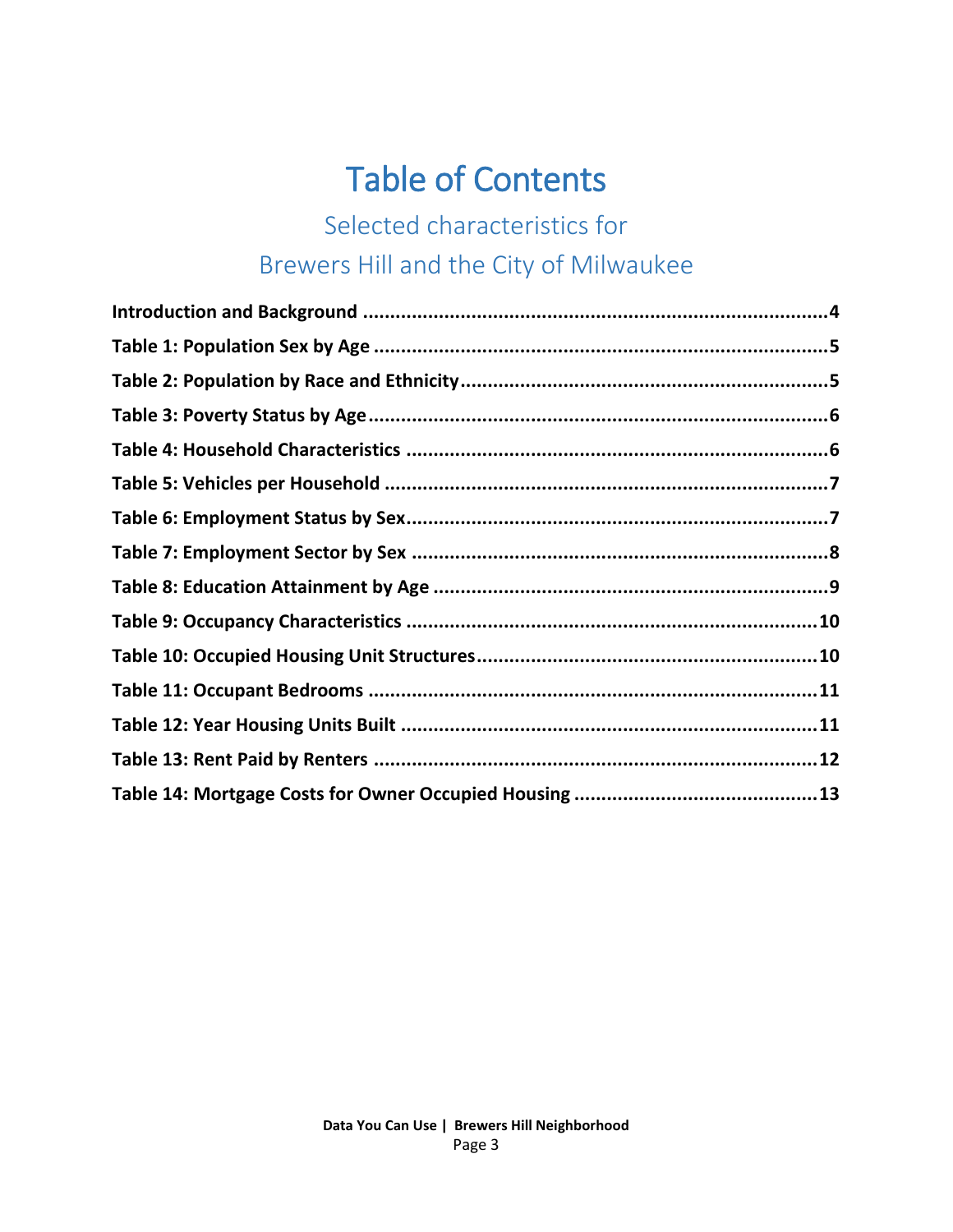# Table of Contents

# Selected characteristics for Brewers Hill and the City of Milwaukee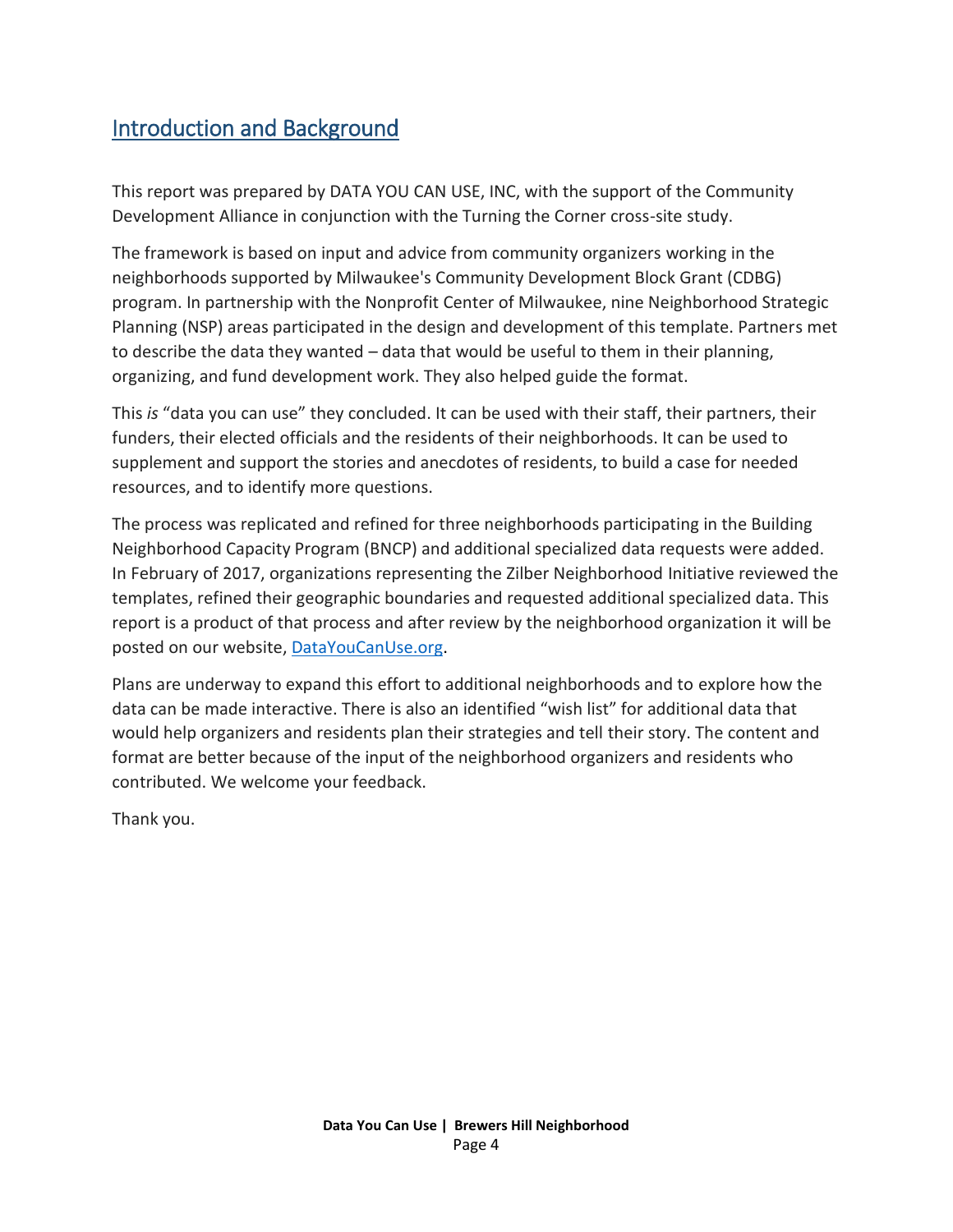#### Introduction and Background

This report was prepared by DATA YOU CAN USE, INC, with the support of the Community Development Alliance in conjunction with the Turning the Corner cross-site study.

The framework is based on input and advice from community organizers working in the neighborhoods supported by Milwaukee's Community Development Block Grant (CDBG) program. In partnership with the Nonprofit Center of Milwaukee, nine Neighborhood Strategic Planning (NSP) areas participated in the design and development of this template. Partners met to describe the data they wanted – data that would be useful to them in their planning, organizing, and fund development work. They also helped guide the format.

This *is* "data you can use" they concluded. It can be used with their staff, their partners, their funders, their elected officials and the residents of their neighborhoods. It can be used to supplement and support the stories and anecdotes of residents, to build a case for needed resources, and to identify more questions.

The process was replicated and refined for three neighborhoods participating in the Building Neighborhood Capacity Program (BNCP) and additional specialized data requests were added. In February of 2017, organizations representing the Zilber Neighborhood Initiative reviewed the templates, refined their geographic boundaries and requested additional specialized data. This report is a product of that process and after review by the neighborhood organization it will be posted on our website, [DataYouCanUse.org.](file:///C:/Users/carri/Desktop/Projects%20and%20Old%20Laptop%20files/Zilber%20Neighborhood%20Profiles/Zilber%20Neighborhood%20profiles/DataYouCanUse.org)

Plans are underway to expand this effort to additional neighborhoods and to explore how the data can be made interactive. There is also an identified "wish list" for additional data that would help organizers and residents plan their strategies and tell their story. The content and format are better because of the input of the neighborhood organizers and residents who contributed. We welcome your feedback.

Thank you.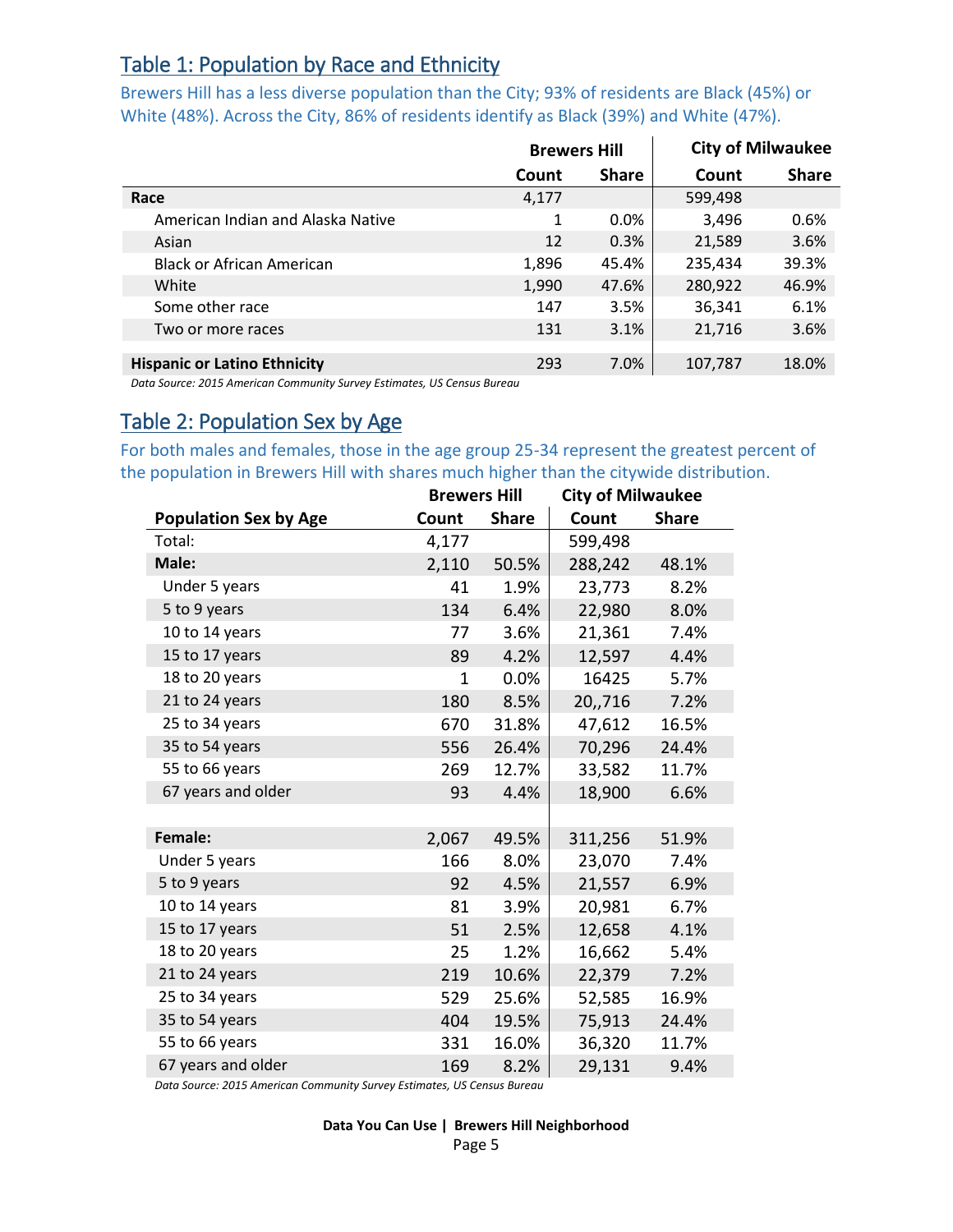#### Table 1: Population by Race and Ethnicity

Brewers Hill has a less diverse population than the City; 93% of residents are Black (45%) or White (48%). Across the City, 86% of residents identify as Black (39%) and White (47%).

|                                     | <b>Brewers Hill</b> |              | <b>City of Milwaukee</b> |              |
|-------------------------------------|---------------------|--------------|--------------------------|--------------|
|                                     | Count               | <b>Share</b> | Count                    | <b>Share</b> |
| Race                                | 4,177               |              | 599,498                  |              |
| American Indian and Alaska Native   | 1                   | $0.0\%$      | 3,496                    | 0.6%         |
| Asian                               | 12                  | 0.3%         | 21,589                   | 3.6%         |
| <b>Black or African American</b>    | 1,896               | 45.4%        | 235,434                  | 39.3%        |
| White                               | 1,990               | 47.6%        | 280,922                  | 46.9%        |
| Some other race                     | 147                 | 3.5%         | 36,341                   | 6.1%         |
| Two or more races                   | 131                 | 3.1%         | 21,716                   | 3.6%         |
|                                     |                     |              |                          |              |
| <b>Hispanic or Latino Ethnicity</b> | 293                 | 7.0%         | 107,787                  | 18.0%        |

*Data Source: 2015 American Community Survey Estimates, US Census Bureau*

#### <span id="page-4-0"></span>Table 2: Population Sex by Age

For both males and females, those in the age group 25-34 represent the greatest percent of the population in Brewers Hill with shares much higher than the citywide distribution.

|                              | <b>Brewers Hill</b> |              | <b>City of Milwaukee</b> |              |
|------------------------------|---------------------|--------------|--------------------------|--------------|
| <b>Population Sex by Age</b> | Count               | <b>Share</b> | Count                    | <b>Share</b> |
| Total:                       | 4,177               |              | 599,498                  |              |
| Male:                        | 2,110               | 50.5%        | 288,242                  | 48.1%        |
| Under 5 years                | 41                  | 1.9%         | 23,773                   | 8.2%         |
| 5 to 9 years                 | 134                 | 6.4%         | 22,980                   | 8.0%         |
| 10 to 14 years               | 77                  | 3.6%         | 21,361                   | 7.4%         |
| 15 to 17 years               | 89                  | 4.2%         | 12,597                   | 4.4%         |
| 18 to 20 years               | $\mathbf{1}$        | 0.0%         | 16425                    | 5.7%         |
| 21 to 24 years               | 180                 | 8.5%         | 20,,716                  | 7.2%         |
| 25 to 34 years               | 670                 | 31.8%        | 47,612                   | 16.5%        |
| 35 to 54 years               | 556                 | 26.4%        | 70,296                   | 24.4%        |
| 55 to 66 years               | 269                 | 12.7%        | 33,582                   | 11.7%        |
| 67 years and older           | 93                  | 4.4%         | 18,900                   | 6.6%         |
|                              |                     |              |                          |              |
| Female:                      | 2,067               | 49.5%        | 311,256                  | 51.9%        |
| Under 5 years                | 166                 | 8.0%         | 23,070                   | 7.4%         |
| 5 to 9 years                 | 92                  | 4.5%         | 21,557                   | 6.9%         |
| 10 to 14 years               | 81                  | 3.9%         | 20,981                   | 6.7%         |
| 15 to 17 years               | 51                  | 2.5%         | 12,658                   | 4.1%         |
| 18 to 20 years               | 25                  | 1.2%         | 16,662                   | 5.4%         |
| 21 to 24 years               | 219                 | 10.6%        | 22,379                   | 7.2%         |
| 25 to 34 years               | 529                 | 25.6%        | 52,585                   | 16.9%        |
| 35 to 54 years               | 404                 | 19.5%        | 75,913                   | 24.4%        |
| 55 to 66 years               | 331                 | 16.0%        | 36,320                   | 11.7%        |
| 67 years and older           | 169                 | 8.2%         | 29,131                   | 9.4%         |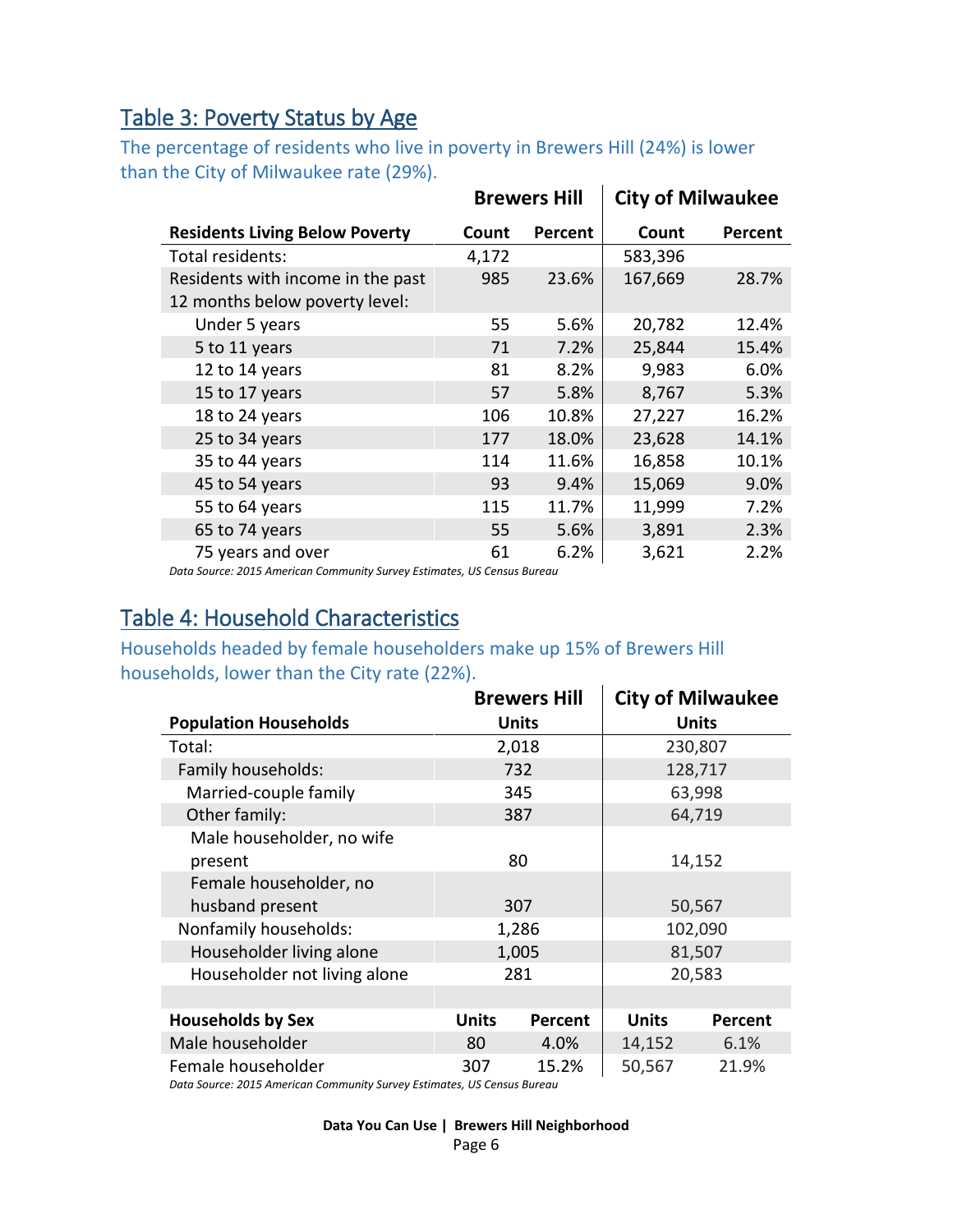#### Table 3: Poverty Status by Age

The percentage of residents who live in poverty in Brewers Hill (24%) is lower than the City of Milwaukee rate (29%).  $\mathbf{r}$ 

|                                       |       | <b>Brewers Hill</b> | <b>City of Milwaukee</b> |         |  |
|---------------------------------------|-------|---------------------|--------------------------|---------|--|
| <b>Residents Living Below Poverty</b> | Count | <b>Percent</b>      | Count                    | Percent |  |
| Total residents:                      | 4,172 |                     | 583,396                  |         |  |
| Residents with income in the past     | 985   | 23.6%               | 167,669                  | 28.7%   |  |
| 12 months below poverty level:        |       |                     |                          |         |  |
| Under 5 years                         | 55    | 5.6%                | 20,782                   | 12.4%   |  |
| 5 to 11 years                         | 71    | 7.2%                | 25,844                   | 15.4%   |  |
| 12 to 14 years                        | 81    | 8.2%                | 9,983                    | 6.0%    |  |
| 15 to 17 years                        | 57    | 5.8%                | 8,767                    | 5.3%    |  |
| 18 to 24 years                        | 106   | 10.8%               | 27,227                   | 16.2%   |  |
| 25 to 34 years                        | 177   | 18.0%               | 23,628                   | 14.1%   |  |
| 35 to 44 years                        | 114   | 11.6%               | 16,858                   | 10.1%   |  |
| 45 to 54 years                        | 93    | 9.4%                | 15,069                   | 9.0%    |  |
| 55 to 64 years                        | 115   | 11.7%               | 11,999                   | 7.2%    |  |
| 65 to 74 years                        | 55    | 5.6%                | 3,891                    | 2.3%    |  |
| 75 years and over                     | 61    | 6.2%                | 3,621                    | 2.2%    |  |

*Data Source: 2015 American Community Survey Estimates, US Census Bureau*

#### Table 4: Household Characteristics

#### Households headed by female householders make up 15% of Brewers Hill households, lower than the City rate (22%).

|                              |              | <b>Brewers Hill</b> |              | <b>City of Milwaukee</b> |
|------------------------------|--------------|---------------------|--------------|--------------------------|
| <b>Population Households</b> |              | <b>Units</b>        |              | <b>Units</b>             |
| Total:                       |              | 2,018               |              | 230,807                  |
| Family households:           |              | 732                 |              | 128,717                  |
| Married-couple family        |              | 345                 |              | 63,998                   |
| Other family:                |              | 387                 |              | 64,719                   |
| Male householder, no wife    |              |                     |              |                          |
| present                      |              | 80                  | 14,152       |                          |
| Female householder, no       |              |                     |              |                          |
| husband present              |              | 307                 | 50,567       |                          |
| Nonfamily households:        |              | 1,286               |              | 102,090                  |
| Householder living alone     |              | 1,005               |              | 81,507                   |
| Householder not living alone |              | 281                 |              | 20,583                   |
|                              |              |                     |              |                          |
| <b>Households by Sex</b>     | <b>Units</b> | Percent             | <b>Units</b> | Percent                  |
| Male householder             | 80           | 4.0%                | 14,152       | 6.1%                     |
| Female householder           | 307          | 15.2%               | 50,567       | 21.9%                    |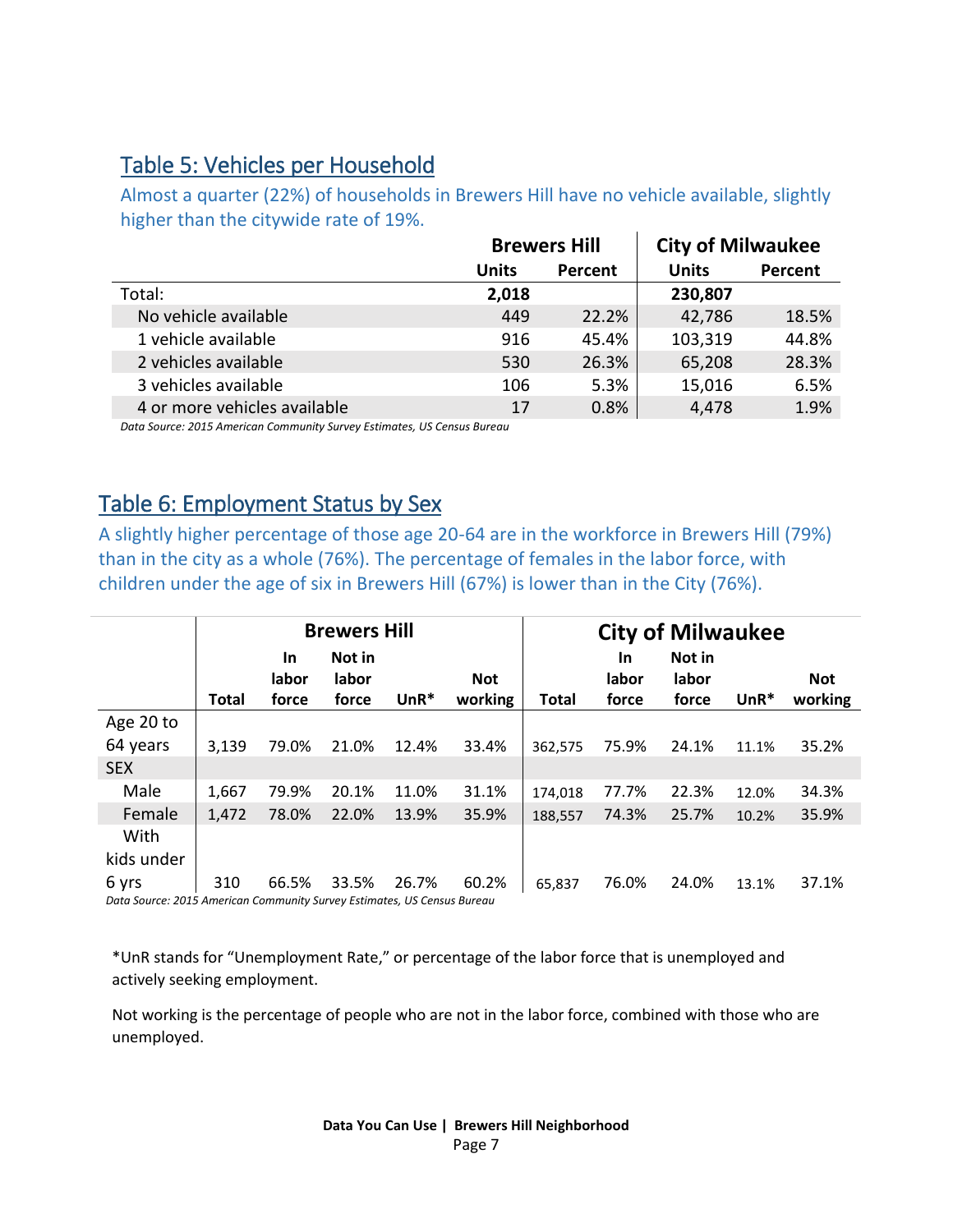#### Table 5: Vehicles per Household

Almost a quarter (22%) of households in Brewers Hill have no vehicle available, slightly higher than the citywide rate of 19%.

|              |         | <b>City of Milwaukee</b> |         |  |
|--------------|---------|--------------------------|---------|--|
| <b>Units</b> | Percent | <b>Units</b>             | Percent |  |
| 2,018        |         | 230,807                  |         |  |
| 449          | 22.2%   | 42,786                   | 18.5%   |  |
| 916          | 45.4%   | 103,319                  | 44.8%   |  |
| 530          | 26.3%   | 65,208                   | 28.3%   |  |
| 106          | 5.3%    | 15,016                   | 6.5%    |  |
| 17           | 0.8%    | 4,478                    | 1.9%    |  |
|              |         | <b>Brewers Hill</b>      |         |  |

*Data Source: 2015 American Community Survey Estimates, US Census Bureau*

#### Table 6: Employment Status by Sex

A slightly higher percentage of those age 20-64 are in the workforce in Brewers Hill (79%) than in the city as a whole (76%). The percentage of females in the labor force, with children under the age of six in Brewers Hill (67%) is lower than in the City (76%).

|                                                                          | <b>Brewers Hill</b> |       |        |        |            |              | <b>City of Milwaukee</b> |        |         |         |  |
|--------------------------------------------------------------------------|---------------------|-------|--------|--------|------------|--------------|--------------------------|--------|---------|---------|--|
|                                                                          |                     | In    | Not in |        |            |              | In                       | Not in |         |         |  |
|                                                                          |                     | labor | labor  |        | <b>Not</b> |              | labor                    | labor  |         | Not     |  |
|                                                                          | <b>Total</b>        | force | force  | $UnR*$ | working    | <b>Total</b> | force                    | force  | $UnR^*$ | working |  |
| Age 20 to                                                                |                     |       |        |        |            |              |                          |        |         |         |  |
| 64 years                                                                 | 3,139               | 79.0% | 21.0%  | 12.4%  | 33.4%      | 362,575      | 75.9%                    | 24.1%  | 11.1%   | 35.2%   |  |
| <b>SEX</b>                                                               |                     |       |        |        |            |              |                          |        |         |         |  |
| Male                                                                     | 1,667               | 79.9% | 20.1%  | 11.0%  | 31.1%      | 174,018      | 77.7%                    | 22.3%  | 12.0%   | 34.3%   |  |
| Female                                                                   | 1,472               | 78.0% | 22.0%  | 13.9%  | 35.9%      | 188,557      | 74.3%                    | 25.7%  | 10.2%   | 35.9%   |  |
| With                                                                     |                     |       |        |        |            |              |                          |        |         |         |  |
| kids under                                                               |                     |       |        |        |            |              |                          |        |         |         |  |
| 6 yrs                                                                    | 310                 | 66.5% | 33.5%  | 26.7%  | 60.2%      | 65,837       | 76.0%                    | 24.0%  | 13.1%   | 37.1%   |  |
| Data Source: 2015, American Community Survey Estimates, US Census Rureau |                     |       |        |        |            |              |                          |        |         |         |  |

*Data Source: 2015 American Community Survey Estimates, US Census Bureau*

\*UnR stands for "Unemployment Rate," or percentage of the labor force that is unemployed and actively seeking employment.

Not working is the percentage of people who are not in the labor force, combined with those who are unemployed.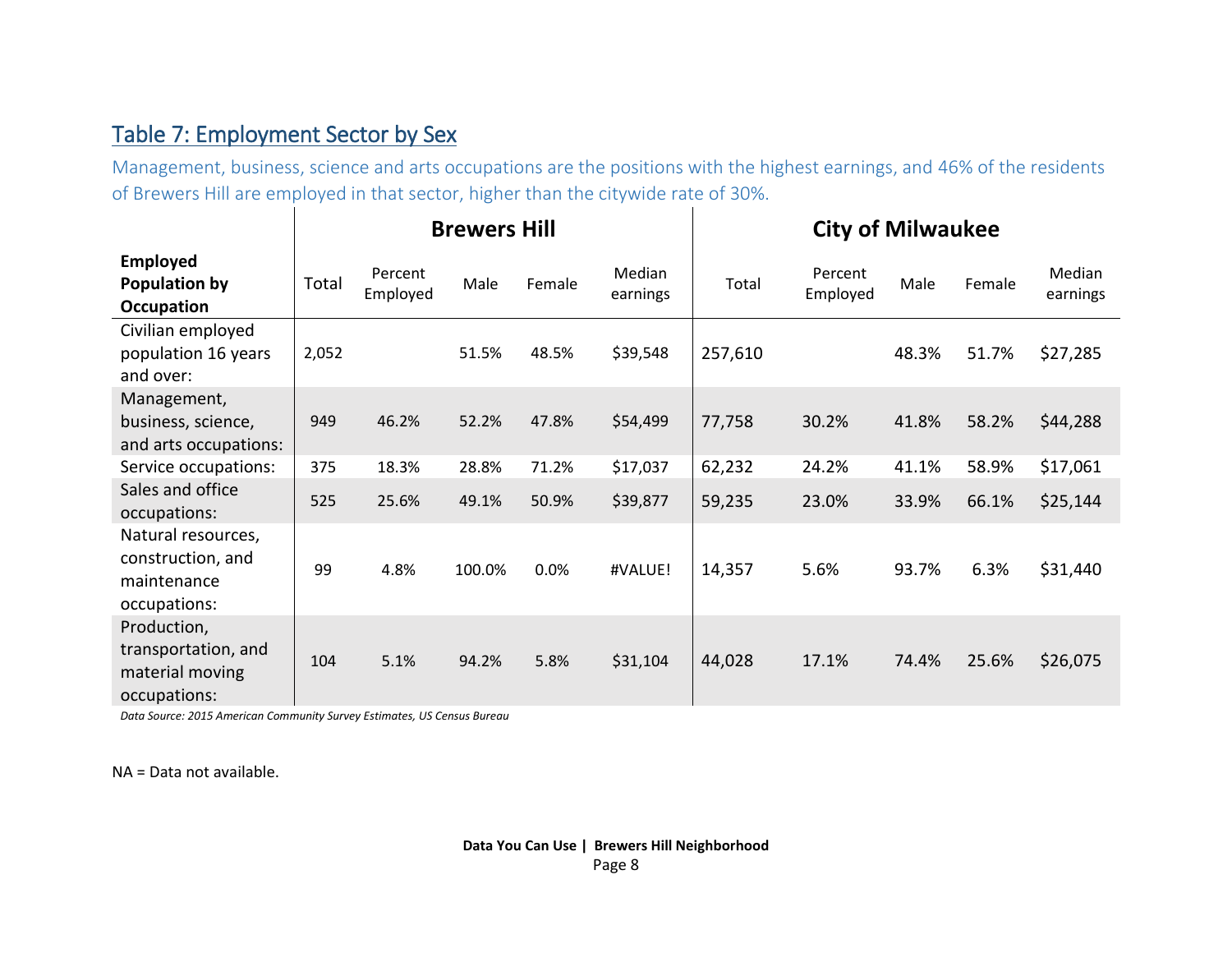#### Table 7: Employment Sector by Sex

Management, business, science and arts occupations are the positions with the highest earnings, and 46% of the residents of Brewers Hill are employed in that sector, higher than the citywide rate of 30%.

|                                                                        |       |                     | <b>Brewers Hill</b> |        |                           | <b>City of Milwaukee</b> |                     |       |        |                    |
|------------------------------------------------------------------------|-------|---------------------|---------------------|--------|---------------------------|--------------------------|---------------------|-------|--------|--------------------|
| <b>Employed</b><br>Population by<br>Occupation                         | Total | Percent<br>Employed | Male                | Female | <b>Median</b><br>earnings | Total                    | Percent<br>Employed | Male  | Female | Median<br>earnings |
| Civilian employed<br>population 16 years<br>and over:                  | 2,052 |                     | 51.5%               | 48.5%  | \$39,548                  | 257,610                  |                     | 48.3% | 51.7%  | \$27,285           |
| Management,<br>business, science,<br>and arts occupations:             | 949   | 46.2%               | 52.2%               | 47.8%  | \$54,499                  | 77,758                   | 30.2%               | 41.8% | 58.2%  | \$44,288           |
| Service occupations:                                                   | 375   | 18.3%               | 28.8%               | 71.2%  | \$17,037                  | 62,232                   | 24.2%               | 41.1% | 58.9%  | \$17,061           |
| Sales and office<br>occupations:                                       | 525   | 25.6%               | 49.1%               | 50.9%  | \$39,877                  | 59,235                   | 23.0%               | 33.9% | 66.1%  | \$25,144           |
| Natural resources,<br>construction, and<br>maintenance<br>occupations: | 99    | 4.8%                | 100.0%              | 0.0%   | #VALUE!                   | 14,357                   | 5.6%                | 93.7% | 6.3%   | \$31,440           |
| Production,<br>transportation, and<br>material moving<br>occupations:  | 104   | 5.1%                | 94.2%               | 5.8%   | \$31,104                  | 44,028                   | 17.1%               | 74.4% | 25.6%  | \$26,075           |

*Data Source: 2015 American Community Survey Estimates, US Census Bureau*

NA = Data not available.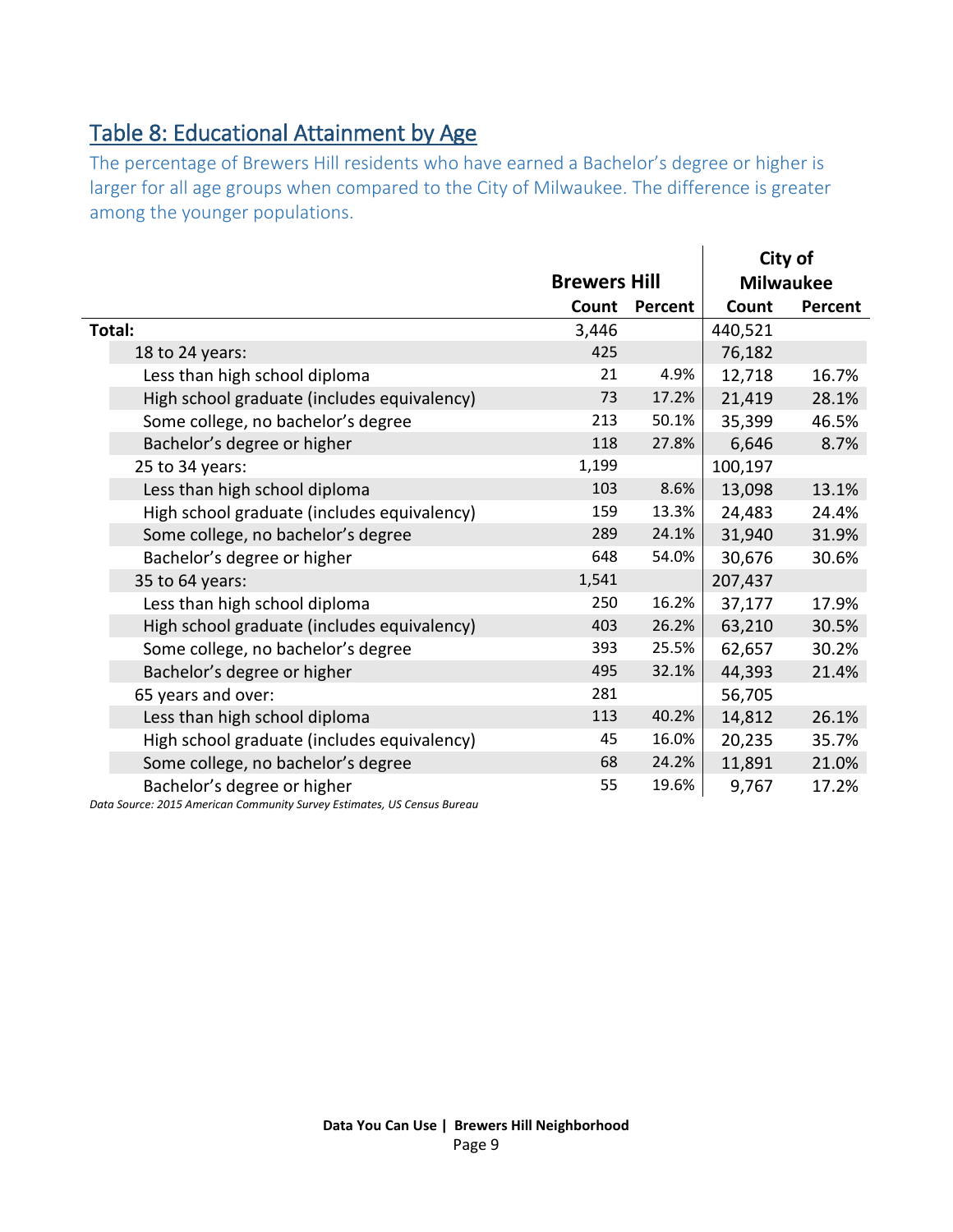### <span id="page-8-0"></span>Table 8: Educational Attainment by Age

The percentage of Brewers Hill residents who have earned a Bachelor's degree or higher is larger for all age groups when compared to the City of Milwaukee. The difference is greater among the younger populations.

|                                             |                     |         |         | City of          |
|---------------------------------------------|---------------------|---------|---------|------------------|
|                                             | <b>Brewers Hill</b> |         |         | <b>Milwaukee</b> |
|                                             | Count               | Percent | Count   | Percent          |
| Total:                                      | 3,446               |         | 440,521 |                  |
| 18 to 24 years:                             | 425                 |         | 76,182  |                  |
| Less than high school diploma               | 21                  | 4.9%    | 12,718  | 16.7%            |
| High school graduate (includes equivalency) | 73                  | 17.2%   | 21,419  | 28.1%            |
| Some college, no bachelor's degree          | 213                 | 50.1%   | 35,399  | 46.5%            |
| Bachelor's degree or higher                 | 118                 | 27.8%   | 6,646   | 8.7%             |
| 25 to 34 years:                             | 1,199               |         | 100,197 |                  |
| Less than high school diploma               | 103                 | 8.6%    | 13,098  | 13.1%            |
| High school graduate (includes equivalency) | 159                 | 13.3%   | 24,483  | 24.4%            |
| Some college, no bachelor's degree          | 289                 | 24.1%   | 31,940  | 31.9%            |
| Bachelor's degree or higher                 | 648                 | 54.0%   | 30,676  | 30.6%            |
| 35 to 64 years:                             | 1,541               |         | 207,437 |                  |
| Less than high school diploma               | 250                 | 16.2%   | 37,177  | 17.9%            |
| High school graduate (includes equivalency) | 403                 | 26.2%   | 63,210  | 30.5%            |
| Some college, no bachelor's degree          | 393                 | 25.5%   | 62,657  | 30.2%            |
| Bachelor's degree or higher                 | 495                 | 32.1%   | 44,393  | 21.4%            |
| 65 years and over:                          | 281                 |         | 56,705  |                  |
| Less than high school diploma               | 113                 | 40.2%   | 14,812  | 26.1%            |
| High school graduate (includes equivalency) | 45                  | 16.0%   | 20,235  | 35.7%            |
| Some college, no bachelor's degree          | 68                  | 24.2%   | 11,891  | 21.0%            |
| Bachelor's degree or higher                 | 55                  | 19.6%   | 9,767   | 17.2%            |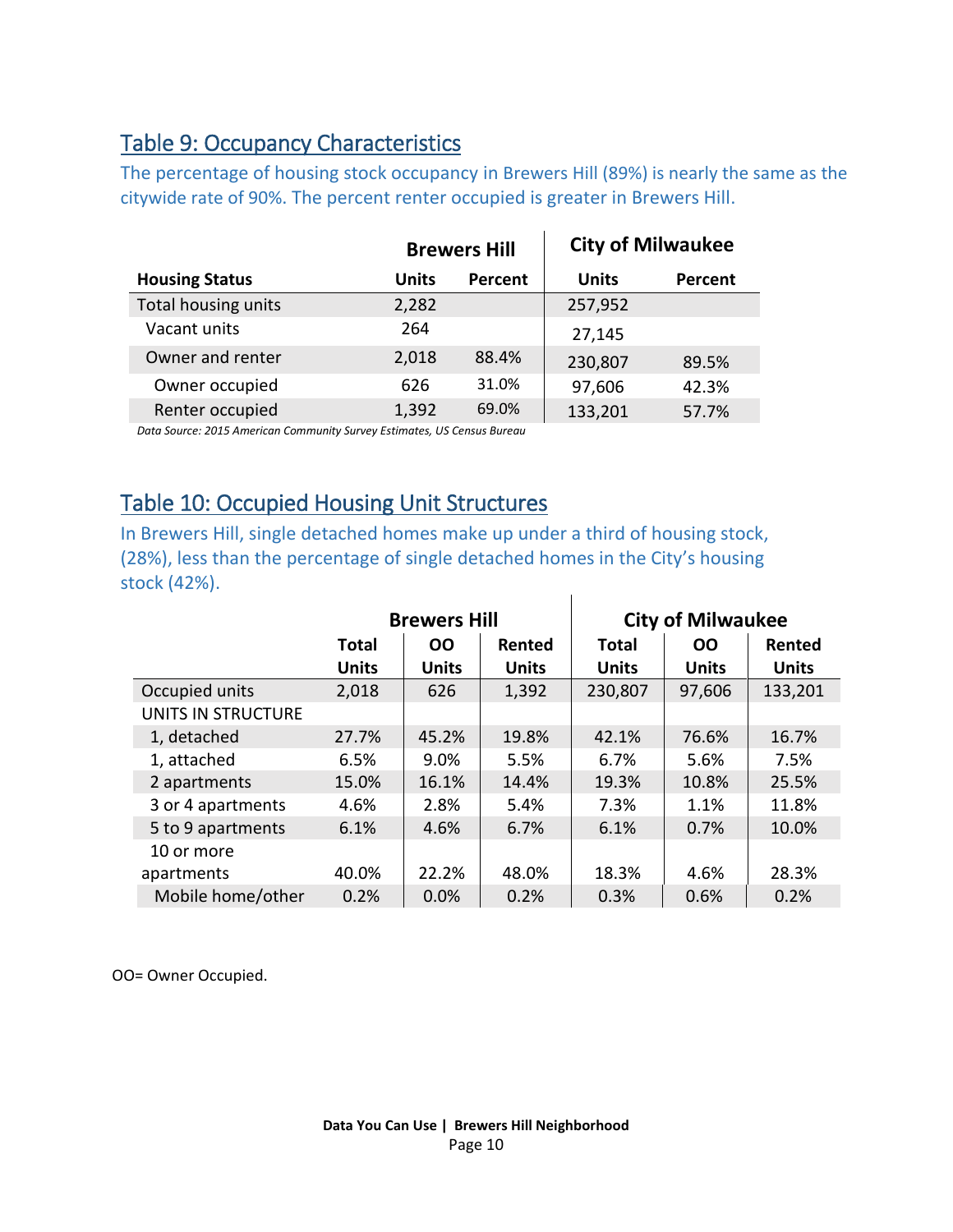#### <span id="page-9-1"></span>Table 9: Occupancy Characteristics

The percentage of housing stock occupancy in Brewers Hill (89%) is nearly the same as the citywide rate of 90%. The percent renter occupied is greater in Brewers Hill.

|                       |       | <b>Brewers Hill</b> |              | <b>City of Milwaukee</b> |
|-----------------------|-------|---------------------|--------------|--------------------------|
| <b>Housing Status</b> | Units | Percent             | <b>Units</b> | Percent                  |
| Total housing units   | 2,282 |                     | 257,952      |                          |
| Vacant units          | 264   |                     | 27,145       |                          |
| Owner and renter      | 2,018 | 88.4%               | 230,807      | 89.5%                    |
| Owner occupied        | 626   | 31.0%               | 97,606       | 42.3%                    |
| Renter occupied       | 1,392 | 69.0%               | 133,201      | 57.7%                    |

*Data Source: 2015 American Community Survey Estimates, US Census Bureau*

#### <span id="page-9-0"></span>Table 10: Occupied Housing Unit Structures

In Brewers Hill, single detached homes make up under a third of housing stock, (28%), less than the percentage of single detached homes in the City's housing stock (42%).  $\overline{\phantom{a}}$ 

|                    |              | <b>Brewers Hill</b> |              |              | <b>City of Milwaukee</b> |              |
|--------------------|--------------|---------------------|--------------|--------------|--------------------------|--------------|
|                    | <b>Total</b> | <b>OO</b>           | Rented       | <b>Total</b> | 00                       | Rented       |
|                    | <b>Units</b> | <b>Units</b>        | <b>Units</b> | <b>Units</b> | <b>Units</b>             | <b>Units</b> |
| Occupied units     | 2,018        | 626                 | 1,392        | 230,807      | 97,606                   | 133,201      |
| UNITS IN STRUCTURE |              |                     |              |              |                          |              |
| 1, detached        | 27.7%        | 45.2%               | 19.8%        | 42.1%        | 76.6%                    | 16.7%        |
| 1, attached        | 6.5%         | 9.0%                | 5.5%         | 6.7%         | 5.6%                     | 7.5%         |
| 2 apartments       | 15.0%        | 16.1%               | 14.4%        | 19.3%        | 10.8%                    | 25.5%        |
| 3 or 4 apartments  | 4.6%         | 2.8%                | 5.4%         | 7.3%         | 1.1%                     | 11.8%        |
| 5 to 9 apartments  | 6.1%         | 4.6%                | 6.7%         | 6.1%         | 0.7%                     | 10.0%        |
| 10 or more         |              |                     |              |              |                          |              |
| apartments         | 40.0%        | 22.2%               | 48.0%        | 18.3%        | 4.6%                     | 28.3%        |
| Mobile home/other  | 0.2%         | 0.0%                | 0.2%         | 0.3%         | 0.6%                     | 0.2%         |

OO= Owner Occupied.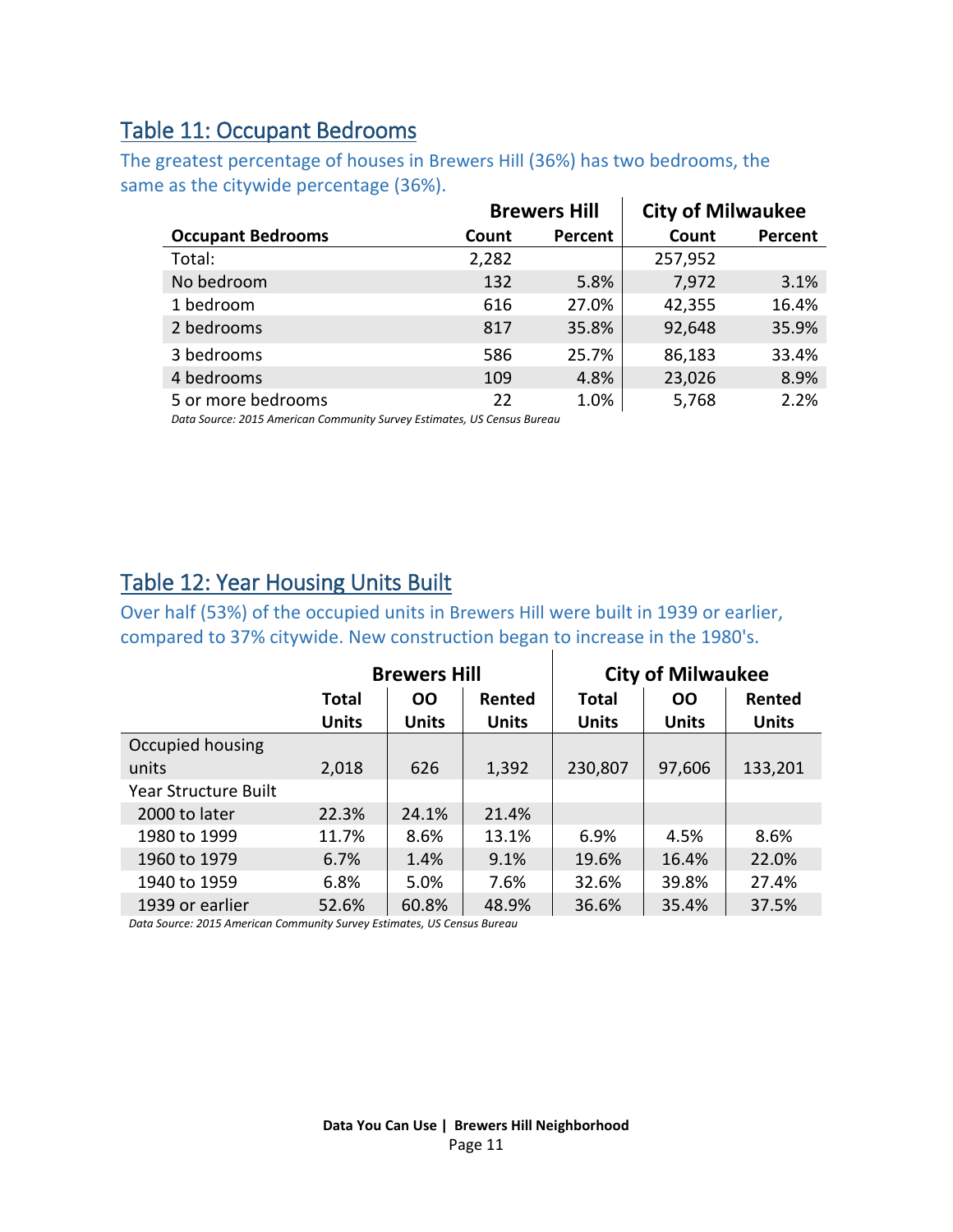#### <span id="page-10-0"></span>Table 11: Occupant Bedrooms

The greatest percentage of houses in Brewers Hill (36%) has two bedrooms, the same as the citywide percentage (36%).

|                          |       | <b>Brewers Hill</b> | <b>City of Milwaukee</b> |         |
|--------------------------|-------|---------------------|--------------------------|---------|
| <b>Occupant Bedrooms</b> | Count | Percent             | Count                    | Percent |
| Total:                   | 2,282 |                     | 257,952                  |         |
| No bedroom               | 132   | 5.8%                | 7,972                    | 3.1%    |
| 1 bedroom                | 616   | 27.0%               | 42,355                   | 16.4%   |
| 2 bedrooms               | 817   | 35.8%               | 92,648                   | 35.9%   |
| 3 bedrooms               | 586   | 25.7%               | 86,183                   | 33.4%   |
| 4 bedrooms               | 109   | 4.8%                | 23,026                   | 8.9%    |
| 5 or more bedrooms       | 22    | 1.0%                | 5,768                    | 2.2%    |

*Data Source: 2015 American Community Survey Estimates, US Census Bureau*

#### <span id="page-10-1"></span>Table 12: Year Housing Units Built

Over half (53%) of the occupied units in Brewers Hill were built in 1939 or earlier, compared to 37% citywide. New construction began to increase in the 1980's.

|                             | <b>Brewers Hill</b> |              |              | <b>City of Milwaukee</b> |              |              |
|-----------------------------|---------------------|--------------|--------------|--------------------------|--------------|--------------|
|                             | <b>Total</b>        | <b>OO</b>    | Rented       | <b>Total</b>             | <b>OO</b>    | Rented       |
|                             | <b>Units</b>        | <b>Units</b> | <b>Units</b> | <b>Units</b>             | <b>Units</b> | <b>Units</b> |
| Occupied housing            |                     |              |              |                          |              |              |
| units                       | 2,018               | 626          | 1,392        | 230,807                  | 97,606       | 133,201      |
| <b>Year Structure Built</b> |                     |              |              |                          |              |              |
| 2000 to later               | 22.3%               | 24.1%        | 21.4%        |                          |              |              |
| 1980 to 1999                | 11.7%               | 8.6%         | 13.1%        | 6.9%                     | 4.5%         | 8.6%         |
| 1960 to 1979                | 6.7%                | 1.4%         | 9.1%         | 19.6%                    | 16.4%        | 22.0%        |
| 1940 to 1959                | 6.8%                | 5.0%         | 7.6%         | 32.6%                    | 39.8%        | 27.4%        |
| 1939 or earlier             | 52.6%               | 60.8%        | 48.9%        | 36.6%                    | 35.4%        | 37.5%        |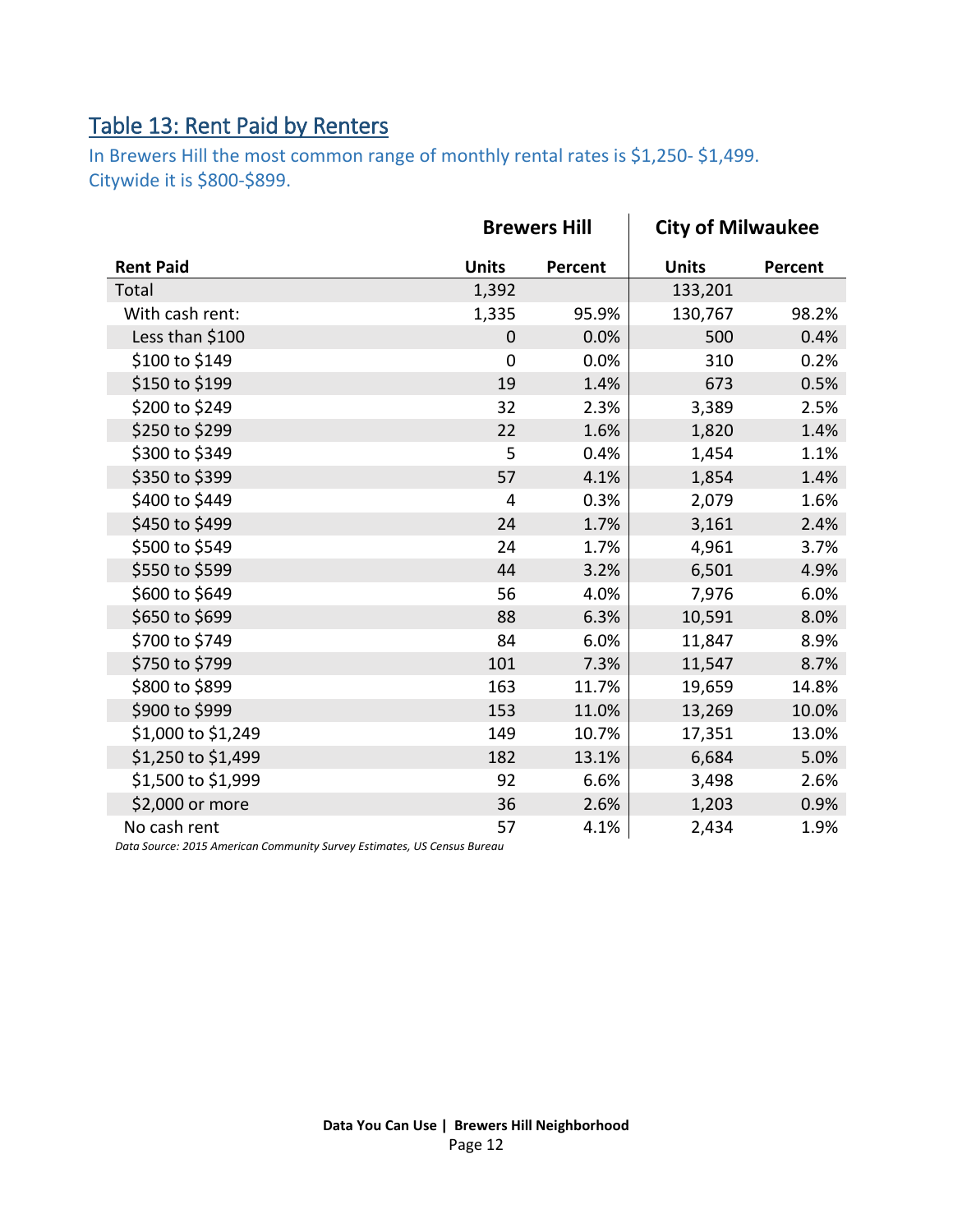### <span id="page-11-0"></span>Table 13: Rent Paid by Renters

In Brewers Hill the most common range of monthly rental rates is \$1,250- \$1,499. Citywide it is \$800-\$899.

|                    | <b>Brewers Hill</b> |         | <b>City of Milwaukee</b> |         |
|--------------------|---------------------|---------|--------------------------|---------|
| <b>Rent Paid</b>   | <b>Units</b>        | Percent | <b>Units</b>             | Percent |
| Total              | 1,392               |         | 133,201                  |         |
| With cash rent:    | 1,335               | 95.9%   | 130,767                  | 98.2%   |
| Less than \$100    | $\overline{0}$      | 0.0%    | 500                      | 0.4%    |
| \$100 to \$149     | $\overline{0}$      | 0.0%    | 310                      | 0.2%    |
| \$150 to \$199     | 19                  | 1.4%    | 673                      | 0.5%    |
| \$200 to \$249     | 32                  | 2.3%    | 3,389                    | 2.5%    |
| \$250 to \$299     | 22                  | 1.6%    | 1,820                    | 1.4%    |
| \$300 to \$349     | 5                   | 0.4%    | 1,454                    | 1.1%    |
| \$350 to \$399     | 57                  | 4.1%    | 1,854                    | 1.4%    |
| \$400 to \$449     | 4                   | 0.3%    | 2,079                    | 1.6%    |
| \$450 to \$499     | 24                  | 1.7%    | 3,161                    | 2.4%    |
| \$500 to \$549     | 24                  | 1.7%    | 4,961                    | 3.7%    |
| \$550 to \$599     | 44                  | 3.2%    | 6,501                    | 4.9%    |
| \$600 to \$649     | 56                  | 4.0%    | 7,976                    | 6.0%    |
| \$650 to \$699     | 88                  | 6.3%    | 10,591                   | 8.0%    |
| \$700 to \$749     | 84                  | 6.0%    | 11,847                   | 8.9%    |
| \$750 to \$799     | 101                 | 7.3%    | 11,547                   | 8.7%    |
| \$800 to \$899     | 163                 | 11.7%   | 19,659                   | 14.8%   |
| \$900 to \$999     | 153                 | 11.0%   | 13,269                   | 10.0%   |
| \$1,000 to \$1,249 | 149                 | 10.7%   | 17,351                   | 13.0%   |
| \$1,250 to \$1,499 | 182                 | 13.1%   | 6,684                    | 5.0%    |
| \$1,500 to \$1,999 | 92                  | 6.6%    | 3,498                    | 2.6%    |
| \$2,000 or more    | 36                  | 2.6%    | 1,203                    | 0.9%    |
| No cash rent       | 57                  | 4.1%    | 2,434                    | 1.9%    |